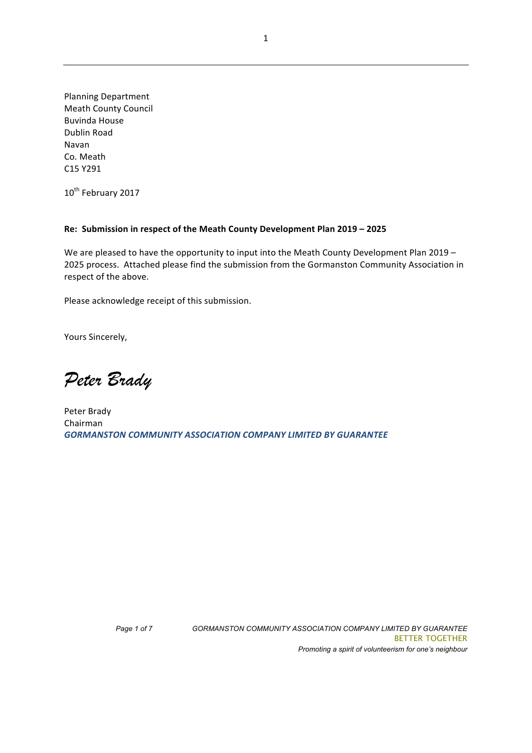Planning Department **Meath County Council** Buvinda House Dublin Road Navan Co. Meath C15 Y291

10<sup>th</sup> February 2017

#### Re: Submission in respect of the Meath County Development Plan 2019 - 2025

We are pleased to have the opportunity to input into the Meath County Development Plan  $2019 -$ 2025 process. Attached please find the submission from the Gormanston Community Association in respect of the above.

Please acknowledge receipt of this submission.

Yours Sincerely,

*Peter Brady*

Peter Brady Chairman **GORMANSTON COMMUNITY ASSOCIATION COMPANY LIMITED BY GUARANTEE**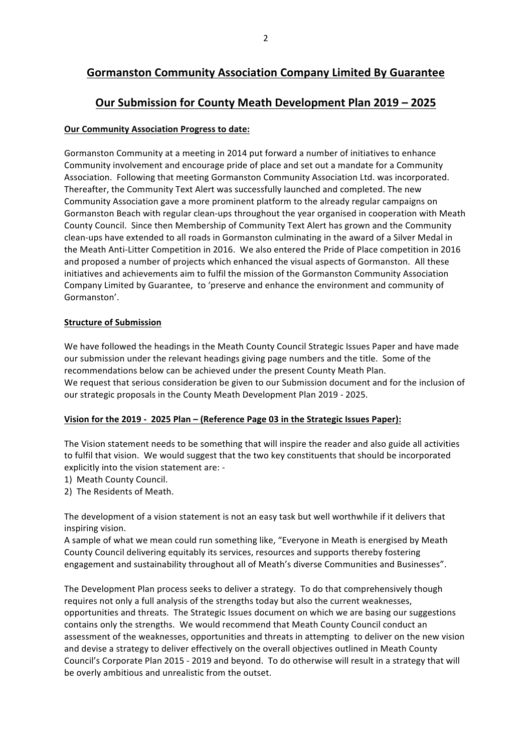# **Gormanston Community Association Company Limited By Guarantee**

# **Our Submission for County Meath Development Plan 2019 - 2025**

## **Our Community Association Progress to date:**

Gormanston Community at a meeting in 2014 put forward a number of initiatives to enhance Community involvement and encourage pride of place and set out a mandate for a Community Association. Following that meeting Gormanston Community Association Ltd. was incorporated. Thereafter, the Community Text Alert was successfully launched and completed. The new Community Association gave a more prominent platform to the already regular campaigns on Gormanston Beach with regular clean-ups throughout the year organised in cooperation with Meath County Council. Since then Membership of Community Text Alert has grown and the Community clean-ups have extended to all roads in Gormanston culminating in the award of a Silver Medal in the Meath Anti-Litter Competition in 2016. We also entered the Pride of Place competition in 2016 and proposed a number of projects which enhanced the visual aspects of Gormanston. All these initiatives and achievements aim to fulfil the mission of the Gormanston Community Association Company Limited by Guarantee, to 'preserve and enhance the environment and community of Gormanston'. 

## **Structure of Submission**

We have followed the headings in the Meath County Council Strategic Issues Paper and have made our submission under the relevant headings giving page numbers and the title. Some of the recommendations below can be achieved under the present County Meath Plan. We request that serious consideration be given to our Submission document and for the inclusion of our strategic proposals in the County Meath Development Plan 2019 - 2025.

# **Vision for the 2019 - 2025 Plan – (Reference Page 03 in the Strategic Issues Paper):**

The Vision statement needs to be something that will inspire the reader and also guide all activities to fulfil that vision. We would suggest that the two key constituents that should be incorporated explicitly into the vision statement are: -

- 1) Meath County Council.
- 2) The Residents of Meath.

The development of a vision statement is not an easy task but well worthwhile if it delivers that inspiring vision.

A sample of what we mean could run something like, "Everyone in Meath is energised by Meath County Council delivering equitably its services, resources and supports thereby fostering engagement and sustainability throughout all of Meath's diverse Communities and Businesses".

The Development Plan process seeks to deliver a strategy. To do that comprehensively though requires not only a full analysis of the strengths today but also the current weaknesses, opportunities and threats. The Strategic Issues document on which we are basing our suggestions contains only the strengths. We would recommend that Meath County Council conduct an assessment of the weaknesses, opportunities and threats in attempting to deliver on the new vision and devise a strategy to deliver effectively on the overall objectives outlined in Meath County Council's Corporate Plan 2015 - 2019 and beyond. To do otherwise will result in a strategy that will be overly ambitious and unrealistic from the outset.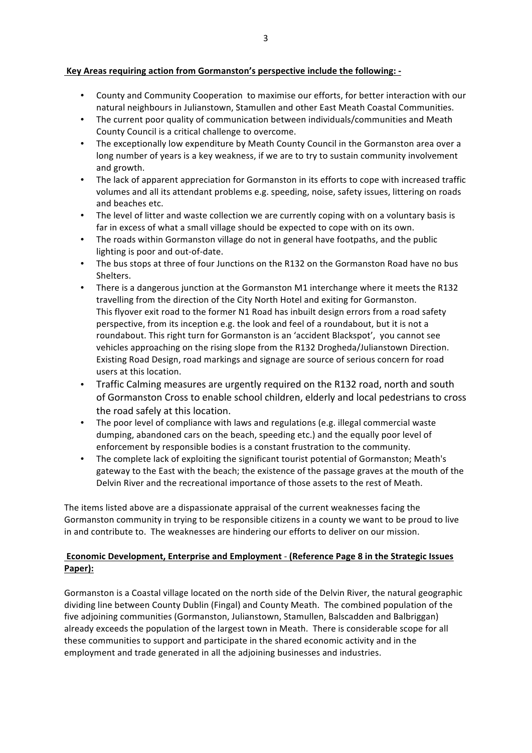## Key Areas requiring action from Gormanston's perspective include the following: -

- County and Community Cooperation to maximise our efforts, for better interaction with our natural neighbours in Julianstown, Stamullen and other East Meath Coastal Communities.
- The current poor quality of communication between individuals/communities and Meath County Council is a critical challenge to overcome.
- The exceptionally low expenditure by Meath County Council in the Gormanston area over a long number of years is a key weakness, if we are to try to sustain community involvement and growth.
- The lack of apparent appreciation for Gormanston in its efforts to cope with increased traffic volumes and all its attendant problems e.g. speeding, noise, safety issues, littering on roads and beaches etc.
- The level of litter and waste collection we are currently coping with on a voluntary basis is far in excess of what a small village should be expected to cope with on its own.
- The roads within Gormanston village do not in general have footpaths, and the public lighting is poor and out-of-date.
- The bus stops at three of four Junctions on the R132 on the Gormanston Road have no bus Shelters.
- There is a dangerous junction at the Gormanston M1 interchange where it meets the R132 travelling from the direction of the City North Hotel and exiting for Gormanston. This flyover exit road to the former N1 Road has inbuilt design errors from a road safety perspective, from its inception e.g. the look and feel of a roundabout, but it is not a roundabout. This right turn for Gormanston is an 'accident Blackspot', you cannot see vehicles approaching on the rising slope from the R132 Drogheda/Julianstown Direction. Existing Road Design, road markings and signage are source of serious concern for road users at this location.
- Traffic Calming measures are urgently required on the R132 road, north and south of Gormanston Cross to enable school children, elderly and local pedestrians to cross the road safely at this location.
- The poor level of compliance with laws and regulations (e.g. illegal commercial waste dumping, abandoned cars on the beach, speeding etc.) and the equally poor level of enforcement by responsible bodies is a constant frustration to the community.
- The complete lack of exploiting the significant tourist potential of Gormanston: Meath's gateway to the East with the beach; the existence of the passage graves at the mouth of the Delvin River and the recreational importance of those assets to the rest of Meath.

The items listed above are a dispassionate appraisal of the current weaknesses facing the Gormanston community in trying to be responsible citizens in a county we want to be proud to live in and contribute to. The weaknesses are hindering our efforts to deliver on our mission.

# **Economic Development, Enterprise and Employment - (Reference Page 8 in the Strategic Issues Paper):**

Gormanston is a Coastal village located on the north side of the Delvin River, the natural geographic dividing line between County Dublin (Fingal) and County Meath. The combined population of the five adjoining communities (Gormanston, Julianstown, Stamullen, Balscadden and Balbriggan) already exceeds the population of the largest town in Meath. There is considerable scope for all these communities to support and participate in the shared economic activity and in the employment and trade generated in all the adjoining businesses and industries.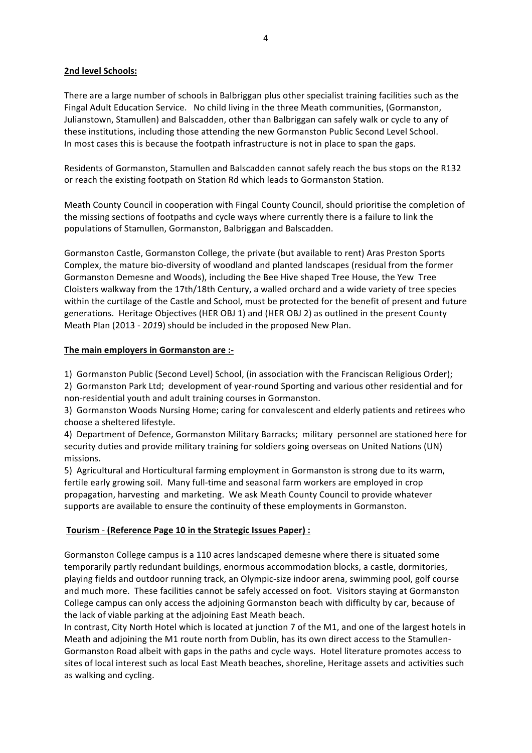## **2nd level Schools:**

There are a large number of schools in Balbriggan plus other specialist training facilities such as the Fingal Adult Education Service. No child living in the three Meath communities, (Gormanston, Julianstown, Stamullen) and Balscadden, other than Balbriggan can safely walk or cycle to any of these institutions, including those attending the new Gormanston Public Second Level School. In most cases this is because the footpath infrastructure is not in place to span the gaps.

Residents of Gormanston, Stamullen and Balscadden cannot safely reach the bus stops on the R132 or reach the existing footpath on Station Rd which leads to Gormanston Station.

Meath County Council in cooperation with Fingal County Council, should prioritise the completion of the missing sections of footpaths and cycle ways where currently there is a failure to link the populations of Stamullen, Gormanston, Balbriggan and Balscadden.

Gormanston Castle, Gormanston College, the private (but available to rent) Aras Preston Sports Complex, the mature bio-diversity of woodland and planted landscapes (residual from the former Gormanston Demesne and Woods), including the Bee Hive shaped Tree House, the Yew Tree Cloisters walkway from the 17th/18th Century, a walled orchard and a wide variety of tree species within the curtilage of the Castle and School, must be protected for the benefit of present and future generations. Heritage Objectives (HER OBJ 1) and (HER OBJ 2) as outlined in the present County Meath Plan (2013 - 2019) should be included in the proposed New Plan.

## **The main employers in Gormanston are :-**

1) Gormanston Public (Second Level) School, (in association with the Franciscan Religious Order);

2) Gormanston Park Ltd; development of year-round Sporting and various other residential and for non-residential youth and adult training courses in Gormanston.

3) Gormanston Woods Nursing Home; caring for convalescent and elderly patients and retirees who choose a sheltered lifestyle. 

4) Department of Defence, Gormanston Military Barracks; military personnel are stationed here for security duties and provide military training for soldiers going overseas on United Nations (UN) missions. 

5) Agricultural and Horticultural farming employment in Gormanston is strong due to its warm, fertile early growing soil. Many full-time and seasonal farm workers are employed in crop propagation, harvesting and marketing. We ask Meath County Council to provide whatever supports are available to ensure the continuity of these employments in Gormanston.

## **Tourism** - **(Reference Page 10 in the Strategic Issues Paper) :**

Gormanston College campus is a 110 acres landscaped demesne where there is situated some temporarily partly redundant buildings, enormous accommodation blocks, a castle, dormitories, playing fields and outdoor running track, an Olympic-size indoor arena, swimming pool, golf course and much more. These facilities cannot be safely accessed on foot. Visitors staying at Gormanston College campus can only access the adjoining Gormanston beach with difficulty by car, because of the lack of viable parking at the adjoining East Meath beach.

In contrast, City North Hotel which is located at junction 7 of the M1, and one of the largest hotels in Meath and adjoining the M1 route north from Dublin, has its own direct access to the Stamullen-Gormanston Road albeit with gaps in the paths and cycle ways. Hotel literature promotes access to sites of local interest such as local East Meath beaches, shoreline, Heritage assets and activities such as walking and cycling.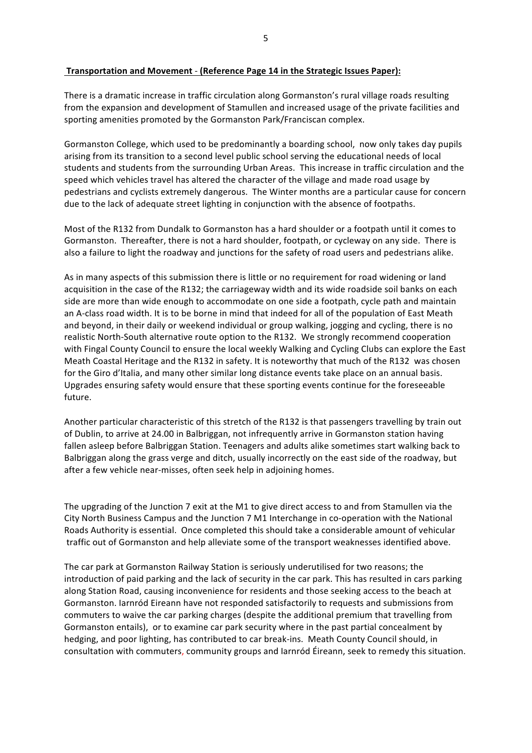#### **Transportation and Movement - (Reference Page 14 in the Strategic Issues Paper):**

There is a dramatic increase in traffic circulation along Gormanston's rural village roads resulting from the expansion and development of Stamullen and increased usage of the private facilities and sporting amenities promoted by the Gormanston Park/Franciscan complex.

Gormanston College, which used to be predominantly a boarding school, now only takes day pupils arising from its transition to a second level public school serving the educational needs of local students and students from the surrounding Urban Areas. This increase in traffic circulation and the speed which vehicles travel has altered the character of the village and made road usage by pedestrians and cyclists extremely dangerous. The Winter months are a particular cause for concern due to the lack of adequate street lighting in conjunction with the absence of footpaths.

Most of the R132 from Dundalk to Gormanston has a hard shoulder or a footpath until it comes to Gormanston. Thereafter, there is not a hard shoulder, footpath, or cycleway on any side. There is also a failure to light the roadway and junctions for the safety of road users and pedestrians alike.

As in many aspects of this submission there is little or no requirement for road widening or land acquisition in the case of the R132; the carriageway width and its wide roadside soil banks on each side are more than wide enough to accommodate on one side a footpath, cycle path and maintain an A-class road width. It is to be borne in mind that indeed for all of the population of East Meath and beyond, in their daily or weekend individual or group walking, jogging and cycling, there is no realistic North-South alternative route option to the R132. We strongly recommend cooperation with Fingal County Council to ensure the local weekly Walking and Cycling Clubs can explore the East Meath Coastal Heritage and the R132 in safety. It is noteworthy that much of the R132 was chosen for the Giro d'Italia, and many other similar long distance events take place on an annual basis. Upgrades ensuring safety would ensure that these sporting events continue for the foreseeable future. 

Another particular characteristic of this stretch of the R132 is that passengers travelling by train out of Dublin, to arrive at 24.00 in Balbriggan, not infrequently arrive in Gormanston station having fallen asleep before Balbriggan Station. Teenagers and adults alike sometimes start walking back to Balbriggan along the grass verge and ditch, usually incorrectly on the east side of the roadway, but after a few vehicle near-misses, often seek help in adjoining homes.

The upgrading of the Junction 7 exit at the M1 to give direct access to and from Stamullen via the City North Business Campus and the Junction 7 M1 Interchange in co-operation with the National Roads Authority is essential. Once completed this should take a considerable amount of vehicular traffic out of Gormanston and help alleviate some of the transport weaknesses identified above.

The car park at Gormanston Railway Station is seriously underutilised for two reasons; the introduction of paid parking and the lack of security in the car park. This has resulted in cars parking along Station Road, causing inconvenience for residents and those seeking access to the beach at Gormanston. Iarnród Eireann have not responded satisfactorily to requests and submissions from commuters to waive the car parking charges (despite the additional premium that travelling from Gormanston entails), or to examine car park security where in the past partial concealment by hedging, and poor lighting, has contributed to car break-ins. Meath County Council should, in consultation with commuters, community groups and larnród Éireann, seek to remedy this situation.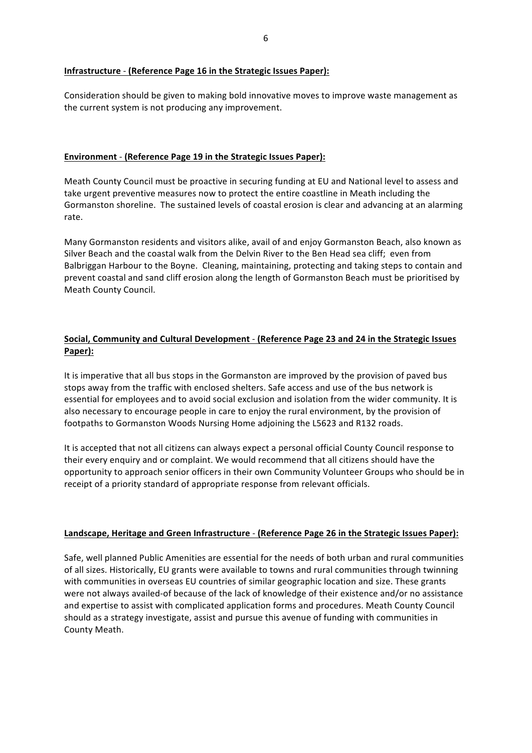#### **Infrastructure** - **(Reference Page 16 in the Strategic Issues Paper):**

Consideration should be given to making bold innovative moves to improve waste management as the current system is not producing any improvement.

#### **Environment** - **(Reference Page 19 in the Strategic Issues Paper):**

Meath County Council must be proactive in securing funding at EU and National level to assess and take urgent preventive measures now to protect the entire coastline in Meath including the Gormanston shoreline. The sustained levels of coastal erosion is clear and advancing at an alarming rate. 

Many Gormanston residents and visitors alike, avail of and enjoy Gormanston Beach, also known as Silver Beach and the coastal walk from the Delvin River to the Ben Head sea cliff; even from Balbriggan Harbour to the Boyne. Cleaning, maintaining, protecting and taking steps to contain and prevent coastal and sand cliff erosion along the length of Gormanston Beach must be prioritised by Meath County Council.

# **Social, Community and Cultural Development - (Reference Page 23 and 24 in the Strategic Issues Paper):**

It is imperative that all bus stops in the Gormanston are improved by the provision of paved bus stops away from the traffic with enclosed shelters. Safe access and use of the bus network is essential for employees and to avoid social exclusion and isolation from the wider community. It is also necessary to encourage people in care to enjoy the rural environment, by the provision of footpaths to Gormanston Woods Nursing Home adjoining the L5623 and R132 roads.

It is accepted that not all citizens can always expect a personal official County Council response to their every enquiry and or complaint. We would recommend that all citizens should have the opportunity to approach senior officers in their own Community Volunteer Groups who should be in receipt of a priority standard of appropriate response from relevant officials.

#### Landscape, Heritage and Green Infrastructure - (Reference Page 26 in the Strategic Issues Paper):

Safe, well planned Public Amenities are essential for the needs of both urban and rural communities of all sizes. Historically, EU grants were available to towns and rural communities through twinning with communities in overseas EU countries of similar geographic location and size. These grants were not always availed-of because of the lack of knowledge of their existence and/or no assistance and expertise to assist with complicated application forms and procedures. Meath County Council should as a strategy investigate, assist and pursue this avenue of funding with communities in County Meath.